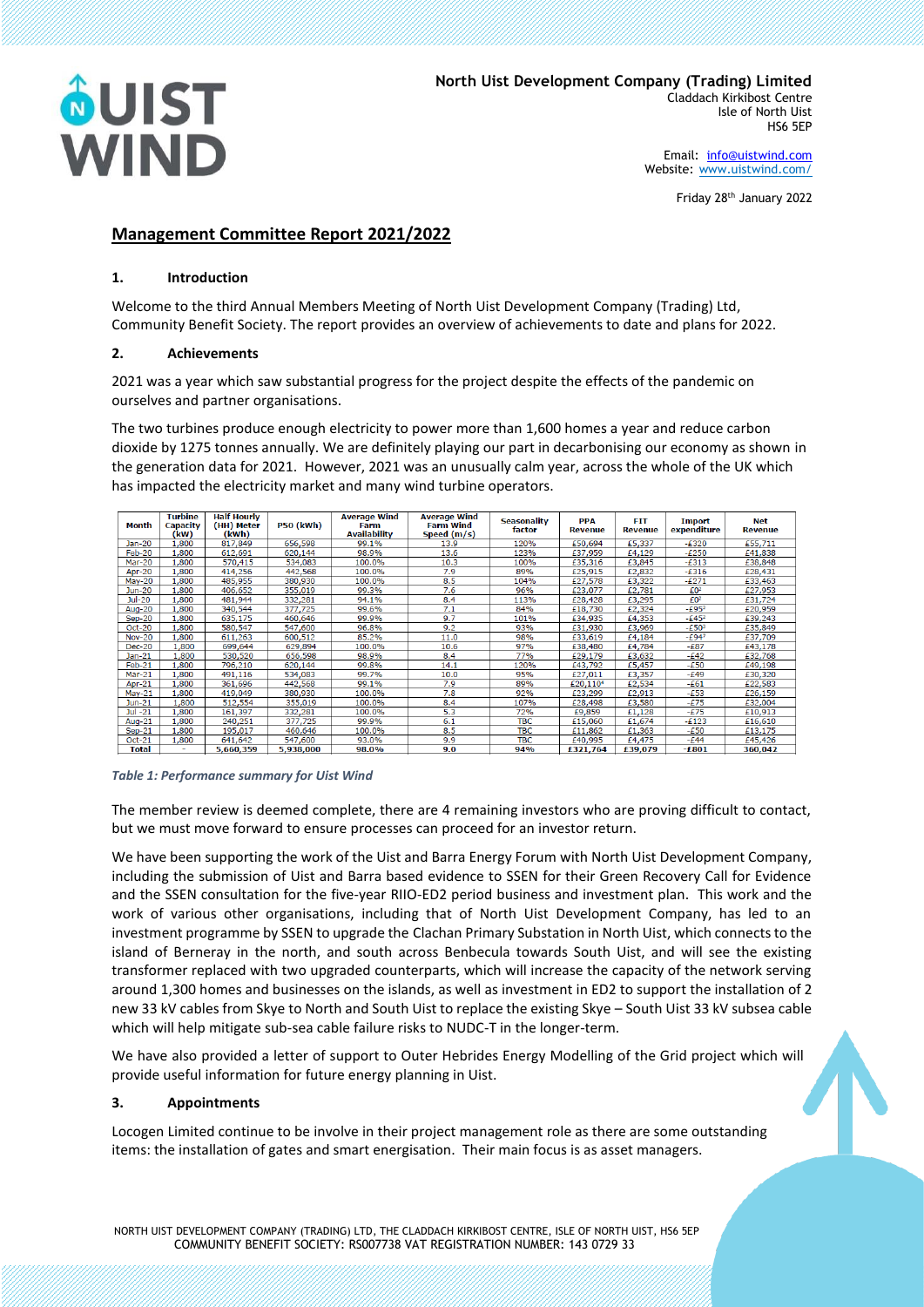

Email: [info@uistwind.com](mailto:info@uistwind.com) Website: [www.uistwind.com/](http://www.uistwind.com/)

Friday 28th January 2022

# **Management Committee Report 2021/2022**

# **1. Introduction**

Welcome to the third Annual Members Meeting of North Uist Development Company (Trading) Ltd, Community Benefit Society. The report provides an overview of achievements to date and plans for 2022.

# **2. Achievements**

2021 was a year which saw substantial progress for the project despite the effects of the pandemic on ourselves and partner organisations.

The two turbines produce enough electricity to power more than 1,600 homes a year and reduce carbon dioxide by 1275 tonnes annually. We are definitely playing our part in decarbonising our economy as shown in the generation data for 2021. However, 2021 was an unusually calm year, across the whole of the UK which has impacted the electricity market and many wind turbine operators.

| Month         | Turbine<br>Capacity<br>(kW) | <b>Half Hourly</b><br>(HH) Meter<br>(kWh) | <b>P50 (kWh)</b> | <b>Average Wind</b><br>Farm<br><b>Availability</b> | <b>Average Wind</b><br><b>Farm Wind</b><br>Speed $(m/s)$ | <b>Seasonality</b><br>factor | <b>PPA</b><br><b>Revenue</b> | <b>FIT</b><br><b>Revenue</b> | <b>Import</b><br>expenditure | Net<br><b>Revenue</b> |
|---------------|-----------------------------|-------------------------------------------|------------------|----------------------------------------------------|----------------------------------------------------------|------------------------------|------------------------------|------------------------------|------------------------------|-----------------------|
| Jan-20        | .800                        | 817,849                                   | 656.598          | 99.1%                                              | 13.9                                                     | 120%                         | £50,694                      | £5,337                       | $-E320$                      | £55,711               |
| Feb-20        | .800                        | 612.691                                   | 620.144          | 98.9%                                              | 13.6                                                     | 123%                         | £37.959                      | £4,129                       | $-E250$                      | £41,838               |
| Mar-20        | ,800                        | 570,415                                   | 534,083          | 100.0%                                             | 10.3                                                     | 100%                         | £35,316                      | £3,845                       | $-E313$                      | £38,848               |
| <b>Apr-20</b> | 1.800                       | 414,256                                   | 442,568          | 100.0%                                             | 7.9                                                      | 89%                          | £25,915                      | £2,832                       | $-E316$                      | £28,431               |
| $May-20$      | 1,800                       | 485.955                                   | 380.930          | 100.0%                                             | 8.5                                                      | 104%                         | £27.578                      | £3,322                       | $-£271$                      | £33,463               |
| $Jun-20$      | 1.800                       | 406.652                                   | 355.019          | 99.3%                                              | 7.6                                                      | 96%                          | £23.077                      | £2.781                       | £0 <sup>2</sup>              | £27.953               |
| Jul-20        | 1,800                       | 481,944                                   | 332,281          | 94.1%                                              | 8.4                                                      | 113%                         | £28,428                      | £3,295                       | $\mathbf{E}0^2$              | £31,724               |
| <b>Aug-20</b> | 1,800                       | 340,544                                   | 377,725          | 99.6%                                              | 7.1                                                      | 84%                          | £18,730                      | £2,324                       | $-£952$                      | £20,959               |
| $Sep-20$      | L,800                       | 635,175                                   | 460,646          | 99.9%                                              | 9.7                                                      | 101%                         | £34,935                      | £4,353                       | $-£452$                      | £39,243               |
| <b>Oct-20</b> | L,800                       | 580,547                                   | 547,600          | 96.8%                                              | 9.2                                                      | 93%                          | £31,930                      | £3,969                       | $-£503$                      | £35,849               |
| <b>Nov-20</b> | .800                        | 611,263                                   | 600,512          | 85.2%                                              | 11.0                                                     | 98%                          | £33,619                      | £4,184                       | $-£947$                      | £37,709               |
| <b>Dec-20</b> | 1,800                       | 699,644                                   | 629,894          | 100.0%                                             | 10.6                                                     | 97%                          | £38,480                      | £4,784                       | -£87                         | £43,178               |
| Jan-21        | L.800                       | 530,520                                   | 656,598          | 98.9%                                              | 8.4                                                      | <b>77%</b>                   | £29,179                      | £3,632                       | $-£42$                       | £32,768               |
| $Feb-21$      | .800                        | 796,210                                   | 620.144          | 99.8%                                              | 14.1                                                     | 120%                         | £43,792                      | £5,457                       | -£50                         | £49,198               |
| Mar-21        | .800                        | 491,116                                   | 534,083          | 99.7%                                              | 10.0                                                     | 95%                          | £27,011                      | £3,357                       | -£49                         | £30,320               |
| Apr-21        | .800                        | 361,696                                   | 442.568          | 99.1%                                              | 7.9                                                      | 89%                          | £20,110 <sup>4</sup>         | £2,534                       | $-E61$                       | £22,583               |
| $May-21$      | .800                        | 419,049                                   | 380.930          | 100.0%                                             | 7.8                                                      | 92%                          | £23,299                      | £2.913                       | -£53                         | £26,159               |
| Jun-21        | 1.800                       | 512,554                                   | 355,019          | 100.0%                                             | 8.4                                                      | 107%                         | £28,498                      | £3,580                       | $-E75$                       | £32,004               |
| $Jul -21$     | .800                        | 161.397                                   | 332,281          | 100.0%                                             | 5.3                                                      | 72%                          | £9,859                       | £1,128                       | $-E75$                       | £10,913               |
| Aug- $21$     | 1.800                       | 240.251                                   | 377.725          | 99.9%                                              | 6.1                                                      | <b>TBC</b>                   | £15,060                      | £1,674                       | $-£123$                      | £16,610               |
| $Sep-21$      | 1.800                       | 195.017                                   | 460,646          | 100.0%                                             | 8.5                                                      | <b>TBC</b>                   | £11,862                      | £1,363                       | $-£50$                       | £13,175               |
| $Oct-21$      | 1,800                       | 641,642                                   | 547,600          | 93.0%                                              | 9.9                                                      | <b>TBC</b>                   | £40,995                      | £4,475                       | -£44                         | £45,426               |
| Total         |                             | 5,660,359                                 | 5,938,000        | 98.0%                                              | 9.0                                                      | 94%                          | £321.764                     | £39,079                      | -£801                        | 360.042               |

#### *Table 1: Performance summary for Uist Wind*

The member review is deemed complete, there are 4 remaining investors who are proving difficult to contact, but we must move forward to ensure processes can proceed for an investor return.

We have been supporting the work of the Uist and Barra Energy Forum with North Uist Development Company, including the submission of Uist and Barra based evidence to SSEN for their Green Recovery Call for Evidence and the SSEN consultation for the five-year RIIO-ED2 period business and investment plan. This work and the work of various other organisations, including that of North Uist Development Company, has led to an investment programme by SSEN to upgrade the Clachan Primary Substation in North Uist, which connects to the island of Berneray in the north, and south across Benbecula towards South Uist, and will see the existing transformer replaced with two upgraded counterparts, which will increase the capacity of the network serving around 1,300 homes and businesses on the islands, as well as investment in ED2 to support the installation of 2 new 33 kV cables from Skye to North and South Uist to replace the existing Skye – South Uist 33 kV subsea cable which will help mitigate sub-sea cable failure risks to NUDC-T in the longer-term.

We have also provided a letter of support to Outer Hebrides Energy Modelling of the Grid project which will provide useful information for future energy planning in Uist.

# **3. Appointments**

Locogen Limited continue to be involve in their project management role as there are some outstanding items: the installation of gates and smart energisation. Their main focus is as asset managers.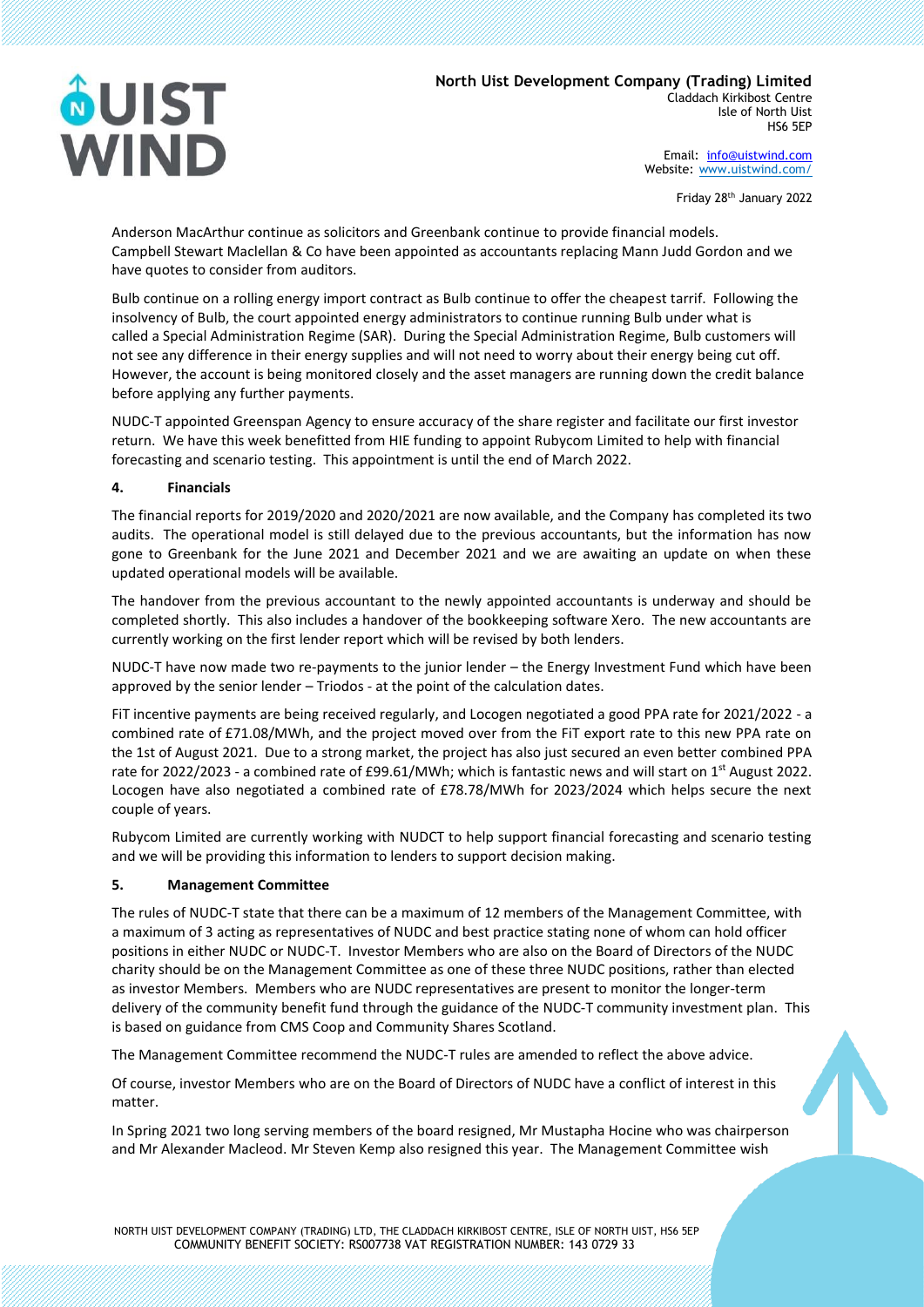# **ÔUIST** WIND

Email: [info@uistwind.com](mailto:info@uistwind.com) Website: [www.uistwind.com/](http://www.uistwind.com/)

Friday 28th January 2022

Anderson MacArthur continue as solicitors and Greenbank continue to provide financial models. Campbell Stewart Maclellan & Co have been appointed as accountants replacing Mann Judd Gordon and we have quotes to consider from auditors.

Bulb continue on a rolling energy import contract as Bulb continue to offer the cheapest tarrif. Following the insolvency of Bulb, the court appointed energy administrators to continue running Bulb under what is called a Special Administration Regime (SAR).  During the Special Administration Regime, Bulb customers will not see any difference in their energy supplies and will not need to worry about their energy being cut off. However, the account is being monitored closely and the asset managers are running down the credit balance before applying any further payments.

NUDC-T appointed Greenspan Agency to ensure accuracy of the share register and facilitate our first investor return. We have this week benefitted from HIE funding to appoint Rubycom Limited to help with financial forecasting and scenario testing. This appointment is until the end of March 2022.

# **4. Financials**

The financial reports for 2019/2020 and 2020/2021 are now available, and the Company has completed its two audits. The operational model is still delayed due to the previous accountants, but the information has now gone to Greenbank for the June 2021 and December 2021 and we are awaiting an update on when these updated operational models will be available.

The handover from the previous accountant to the newly appointed accountants is underway and should be completed shortly. This also includes a handover of the bookkeeping software Xero. The new accountants are currently working on the first lender report which will be revised by both lenders.

NUDC-T have now made two re-payments to the junior lender – the Energy Investment Fund which have been approved by the senior lender – Triodos - at the point of the calculation dates.

FiT incentive payments are being received regularly, and Locogen negotiated a good PPA rate for 2021/2022 - a combined rate of £71.08/MWh, and the project moved over from the FiT export rate to this new PPA rate on the 1st of August 2021. Due to a strong market, the project has also just secured an even better combined PPA rate for 2022/2023 - a combined rate of £99.61/MWh; which is fantastic news and will start on 1<sup>st</sup> August 2022. Locogen have also negotiated a combined rate of £78.78/MWh for 2023/2024 which helps secure the next couple of years.

Rubycom Limited are currently working with NUDCT to help support financial forecasting and scenario testing and we will be providing this information to lenders to support decision making.

# **5. Management Committee**

The rules of NUDC-T state that there can be a maximum of 12 members of the Management Committee, with a maximum of 3 acting as representatives of NUDC and best practice stating none of whom can hold officer positions in either NUDC or NUDC-T. Investor Members who are also on the Board of Directors of the NUDC charity should be on the Management Committee as one of these three NUDC positions, rather than elected as investor Members. Members who are NUDC representatives are present to monitor the longer-term delivery of the community benefit fund through the guidance of the NUDC-T community investment plan. This is based on guidance from CMS Coop and Community Shares Scotland.

The Management Committee recommend the NUDC-T rules are amended to reflect the above advice.

Of course, investor Members who are on the Board of Directors of NUDC have a conflict of interest in this matter.

In Spring 2021 two long serving members of the board resigned, Mr Mustapha Hocine who was chairperson and Mr Alexander Macleod. Mr Steven Kemp also resigned this year. The Management Committee wish